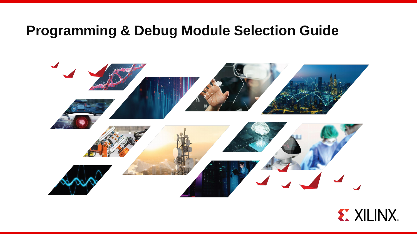# **Programming & Debug Module Selection Guide**



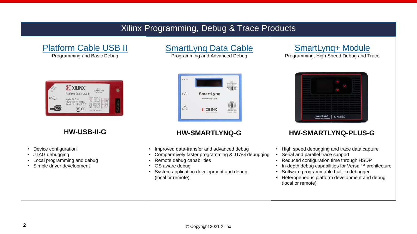## Xilinx Programming, Debug & Trace Products

### [Platform Cable USB II](https://www.xilinx.com/products/boards-and-kits/hw-usb-ii-g.html)

Programming and Basic Debug



- Device configuration
- JTAG debugging
- Local programming and debug
- Simple driver development

# [SmartLynq Data Cable](https://www.xilinx.com/products/boards-and-kits/smartlynq-data-cable.html)

Programming and Advanced Debug



- Improved data-transfer and advanced debug
- Comparatively faster programming & JTAG debugging
- Remote debug capabilities
- OS aware debug
- System application development and debug (local or remote)

## [SmartLynq+ Module](http://www.xilinx.com/smartlynq-plus)

Programming, High Speed Debug and Trace

| Programming, Debug & Trace Module | SmartLynq+   E XILINX. |  |
|-----------------------------------|------------------------|--|

### **HW-USB-II-G HW-SMARTLYNQ-G HW-SMARTLYNQ-PLUS-G**

- High speed debugging and trace data capture
- Serial and parallel trace support
- Reduced configuration time through HSDP
- In-depth debug capabilities for Versal™ architecture
- Software programmable built-in debugger
- Heterogeneous platform development and debug (local or remote)